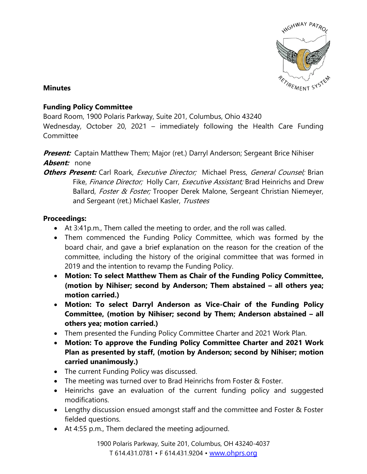

## **Minutes**

## **Funding Policy Committee**

Board Room, 1900 Polaris Parkway, Suite 201, Columbus, Ohio 43240

Wednesday, October 20, 2021 – immediately following the Health Care Funding **Committee** 

**Present:** Captain Matthew Them; Major (ret.) Darryl Anderson; Sergeant Brice Nihiser **Absent:** none

**Others Present:** Carl Roark, *Executive Director;* Michael Press, *General Counsel;* Brian Fike, Finance Director; Holly Carr, Executive Assistant; Brad Heinrichs and Drew Ballard, Foster & Foster; Trooper Derek Malone, Sergeant Christian Niemeyer, and Sergeant (ret.) Michael Kasler, Trustees

## **Proceedings:**

- At 3:41p.m., Them called the meeting to order, and the roll was called.
- Them commenced the Funding Policy Committee, which was formed by the board chair, and gave a brief explanation on the reason for the creation of the committee, including the history of the original committee that was formed in 2019 and the intention to revamp the Funding Policy.
- **Motion: To select Matthew Them as Chair of the Funding Policy Committee, (motion by Nihiser; second by Anderson; Them abstained – all others yea; motion carried.)**
- **Motion: To select Darryl Anderson as Vice-Chair of the Funding Policy Committee, (motion by Nihiser; second by Them; Anderson abstained – all others yea; motion carried.)**
- Them presented the Funding Policy Committee Charter and 2021 Work Plan.
- **Motion: To approve the Funding Policy Committee Charter and 2021 Work Plan as presented by staff, (motion by Anderson; second by Nihiser; motion carried unanimously.)**
- The current Funding Policy was discussed.
- The meeting was turned over to Brad Heinrichs from Foster & Foster.
- Heinrichs gave an evaluation of the current funding policy and suggested modifications.
- Lengthy discussion ensued amongst staff and the committee and Foster & Foster fielded questions.
- At 4:55 p.m., Them declared the meeting adjourned.